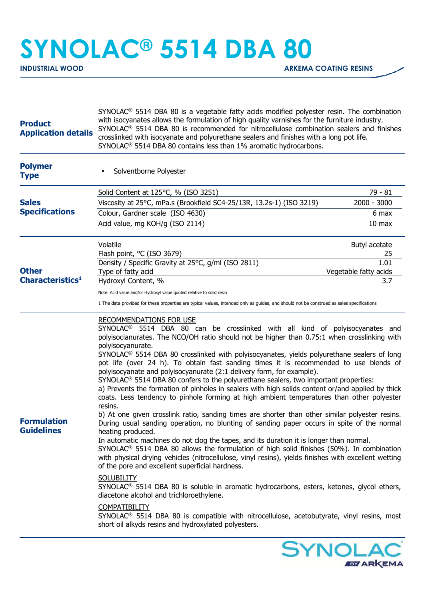## **SYNOLAC® 5514 DBA 80**

| <b>Product</b><br><b>Application details</b> | $SYNOLAC®$ 5514 DBA 80 is a vegetable fatty acids modified polyester resin. The combination<br>with isocyanates allows the formulation of high quality varnishes for the furniture industry.<br>SYNOLAC <sup>®</sup> 5514 DBA 80 is recommended for nitrocellulose combination sealers and finishes<br>crosslinked with isocyanate and polyurethane sealers and finishes with a long pot life.<br>SYNOLAC <sup>®</sup> 5514 DBA 80 contains less than 1% aromatic hydrocarbons.                                                                                                                                                                                                                                                                                                                                                                                                                                                                                                                                                                                                                                                                                                                                                                                                                                                                                                                                                                                                                                                                                                                                                                                                                                                                                                         |                              |
|----------------------------------------------|-----------------------------------------------------------------------------------------------------------------------------------------------------------------------------------------------------------------------------------------------------------------------------------------------------------------------------------------------------------------------------------------------------------------------------------------------------------------------------------------------------------------------------------------------------------------------------------------------------------------------------------------------------------------------------------------------------------------------------------------------------------------------------------------------------------------------------------------------------------------------------------------------------------------------------------------------------------------------------------------------------------------------------------------------------------------------------------------------------------------------------------------------------------------------------------------------------------------------------------------------------------------------------------------------------------------------------------------------------------------------------------------------------------------------------------------------------------------------------------------------------------------------------------------------------------------------------------------------------------------------------------------------------------------------------------------------------------------------------------------------------------------------------------------|------------------------------|
| <b>Polymer</b><br><b>Type</b>                | Solventborne Polyester<br>٠                                                                                                                                                                                                                                                                                                                                                                                                                                                                                                                                                                                                                                                                                                                                                                                                                                                                                                                                                                                                                                                                                                                                                                                                                                                                                                                                                                                                                                                                                                                                                                                                                                                                                                                                                             |                              |
|                                              | Solid Content at 125°C, % (ISO 3251)                                                                                                                                                                                                                                                                                                                                                                                                                                                                                                                                                                                                                                                                                                                                                                                                                                                                                                                                                                                                                                                                                                                                                                                                                                                                                                                                                                                                                                                                                                                                                                                                                                                                                                                                                    | 79 - 81                      |
| <b>Sales</b><br><b>Specifications</b>        | Viscosity at 25°C, mPa.s (Brookfield SC4-25/13R, 13.2s-1) (ISO 3219)                                                                                                                                                                                                                                                                                                                                                                                                                                                                                                                                                                                                                                                                                                                                                                                                                                                                                                                                                                                                                                                                                                                                                                                                                                                                                                                                                                                                                                                                                                                                                                                                                                                                                                                    | 2000 - 3000                  |
|                                              | Colour, Gardner scale (ISO 4630)                                                                                                                                                                                                                                                                                                                                                                                                                                                                                                                                                                                                                                                                                                                                                                                                                                                                                                                                                                                                                                                                                                                                                                                                                                                                                                                                                                                                                                                                                                                                                                                                                                                                                                                                                        | 6 max                        |
|                                              | Acid value, mg KOH/g (ISO 2114)                                                                                                                                                                                                                                                                                                                                                                                                                                                                                                                                                                                                                                                                                                                                                                                                                                                                                                                                                                                                                                                                                                                                                                                                                                                                                                                                                                                                                                                                                                                                                                                                                                                                                                                                                         | 10 <sub>max</sub>            |
| <b>Other</b><br>Characteristics <sup>1</sup> | Volatile                                                                                                                                                                                                                                                                                                                                                                                                                                                                                                                                                                                                                                                                                                                                                                                                                                                                                                                                                                                                                                                                                                                                                                                                                                                                                                                                                                                                                                                                                                                                                                                                                                                                                                                                                                                | Butyl acetate                |
|                                              | Flash point, °C (ISO 3679)                                                                                                                                                                                                                                                                                                                                                                                                                                                                                                                                                                                                                                                                                                                                                                                                                                                                                                                                                                                                                                                                                                                                                                                                                                                                                                                                                                                                                                                                                                                                                                                                                                                                                                                                                              | 25                           |
|                                              | Density / Specific Gravity at 25°C, g/ml (ISO 2811)                                                                                                                                                                                                                                                                                                                                                                                                                                                                                                                                                                                                                                                                                                                                                                                                                                                                                                                                                                                                                                                                                                                                                                                                                                                                                                                                                                                                                                                                                                                                                                                                                                                                                                                                     | 1.01                         |
|                                              | Type of fatty acid<br>Hydroxyl Content, %                                                                                                                                                                                                                                                                                                                                                                                                                                                                                                                                                                                                                                                                                                                                                                                                                                                                                                                                                                                                                                                                                                                                                                                                                                                                                                                                                                                                                                                                                                                                                                                                                                                                                                                                               | Vegetable fatty acids<br>3.7 |
|                                              | Note: Acid value and/or Hydroxyl value quoted relative to solid resin                                                                                                                                                                                                                                                                                                                                                                                                                                                                                                                                                                                                                                                                                                                                                                                                                                                                                                                                                                                                                                                                                                                                                                                                                                                                                                                                                                                                                                                                                                                                                                                                                                                                                                                   |                              |
|                                              | 1 The data provided for these properties are typical values, intended only as guides, and should not be construed as sales specifications                                                                                                                                                                                                                                                                                                                                                                                                                                                                                                                                                                                                                                                                                                                                                                                                                                                                                                                                                                                                                                                                                                                                                                                                                                                                                                                                                                                                                                                                                                                                                                                                                                               |                              |
| <b>Formulation</b><br><b>Guidelines</b>      | <b>RECOMMENDATIONS FOR USE</b><br>SYNOLAC <sup>®</sup> 5514 DBA 80 can be crosslinked with all kind of polyisocyanates and<br>polyisocianurates. The NCO/OH ratio should not be higher than 0.75:1 when crosslinking with<br>polyisocyanurate.<br>SYNOLAC <sup>®</sup> 5514 DBA 80 crosslinked with polyisocyanates, yields polyurethane sealers of long<br>pot life (over 24 h). To obtain fast sanding times it is recommended to use blends of<br>polyisocyanate and polyisocyanurate (2:1 delivery form, for example).<br>$SYNOLAC®$ 5514 DBA 80 confers to the polyurethane sealers, two important properties:<br>a) Prevents the formation of pinholes in sealers with high solids content or/and applied by thick<br>coats. Less tendency to pinhole forming at high ambient temperatures than other polyester<br>resins.<br>b) At one given crosslink ratio, sanding times are shorter than other similar polyester resins.<br>During usual sanding operation, no blunting of sanding paper occurs in spite of the normal<br>heating produced.<br>In automatic machines do not clog the tapes, and its duration it is longer than normal.<br>SYNOLAC <sup>®</sup> 5514 DBA 80 allows the formulation of high solid finishes (50%). In combination<br>with physical drying vehicles (nitrocellulose, vinyl resins), yields finishes with excellent wetting<br>of the pore and excellent superficial hardness.<br><b>SOLUBILITY</b><br>SYNOLAC <sup>®</sup> 5514 DBA 80 is soluble in aromatic hydrocarbons, esters, ketones, glycol ethers,<br>diacetone alcohol and trichloroethylene.<br><b>COMPATIBILITY</b><br>SYNOLAC <sup>®</sup> 5514 DBA 80 is compatible with nitrocellulose, acetobutyrate, vinyl resins, most<br>short oil alkyds resins and hydroxylated polyesters. |                              |